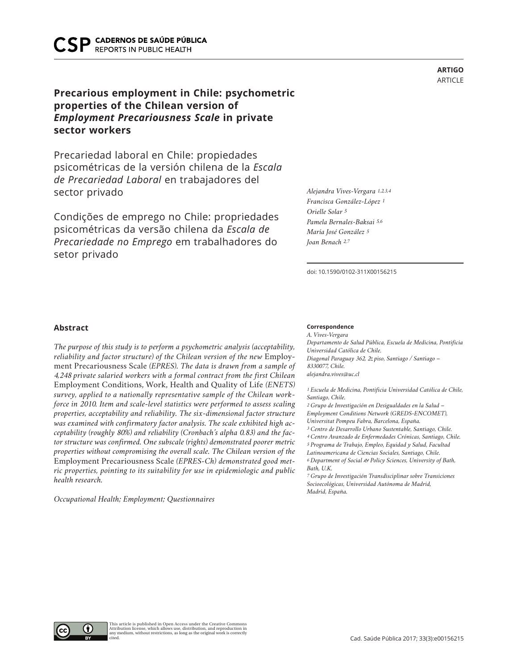**REPORTS IN PUBLIC HEALTH** 

# **Precarious employment in Chile: psychometric properties of the Chilean version of**  *Employment Precariousness Scale* **in private sector workers**

Precariedad laboral en Chile: propiedades psicométricas de la versión chilena de la *Escala de Precariedad Laboral* en trabajadores del sector privado

Condições de emprego no Chile: propriedades psicométricas da versão chilena da *Escala de Precariedade no Emprego* em trabalhadores do setor privado

*Orielle Solar 5*

*Alejandra Vives-Vergara 1,2,3,4 Francisca González-López 1*

*Pamela Bernales-Baksai 5,6 María José González 5 Joan Benach 2,7*

doi: 10.1590/0102-311X00156215

**Correspondence** *A. Vives-Vergara Departamento de Salud Pública, Escuela de Medicina, Pontificia Universidad Católica de Chile. Diagonal Paraguay 362, 2o piso, Santiago / Santiago – 8330077, Chile. alejandra.vives@uc.cl*

*1 Escuela de Medicina, Pontificia Universidad Católica de Chile, Santiago, Chile.*

*2 Grupo de Investigación en Desigualdades en la Salud – Employment Conditions Network (GREDS-ENCOMET), Universitat Pompeu Fabra, Barcelona, España.*

*3 Centro de Desarrollo Urbano Sustentable, Santiago, Chile.*

*4 Centro Avanzado de Enfermedades Crónicas, Santiago, Chile.*

*5 Programa de Trabajo, Empleo, Equidad y Salud, Facultad Latinoamericana de Ciencias Sociales, Santiago, Chile. 6 Department of Social & Policy Sciences, University of Bath, Bath, U.K.*

*7 Grupo de Investigación Transdisciplinar sobre Transiciones Socioecológicas, Universidad Autónoma de Madrid, Madrid, España.*

# **Abstract**

*The purpose of this study is to perform a psychometric analysis (acceptability, reliability and factor structure) of the Chilean version of the new* Employment Precariousness Scale *(EPRES). The data is drawn from a sample of 4,248 private salaried workers with a formal contract from the first Chilean*  Employment Conditions, Work, Health and Quality of Life *(ENETS) survey, applied to a nationally representative sample of the Chilean workforce in 2010. Item and scale-level statistics were performed to assess scaling properties, acceptability and reliability. The six-dimensional factor structure was examined with confirmatory factor analysis. The scale exhibited high acceptability (roughly 80%) and reliability (Cronbach's alpha 0.83) and the factor structure was confirmed. One subscale (rights) demonstrated poorer metric properties without compromising the overall scale. The Chilean version of the*  Employment Precariousness Scale *(EPRES-Ch) demonstrated good metric properties, pointing to its suitability for use in epidemiologic and public health research.*

*Occupational Health; Employment; Questionnaires*



**ARTIGO** ARTICLE

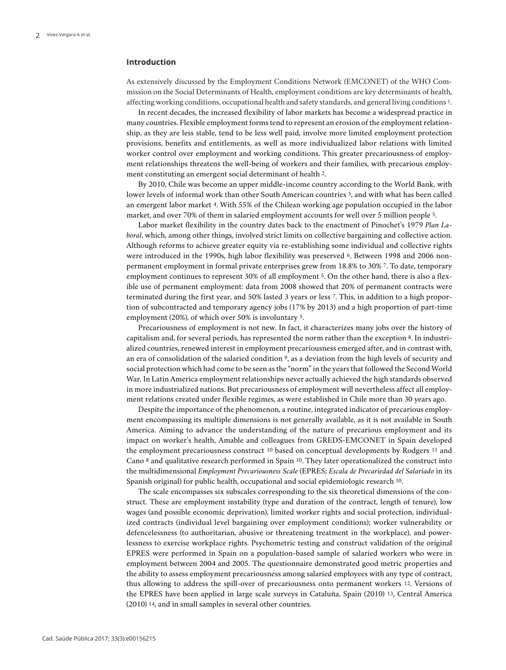#### **Introduction**

As extensively discussed by the Employment Conditions Network (EMCONET) of the WHO Commission on the Social Determinants of Health, employment conditions are key determinants of health, affecting working conditions, occupational health and safety standards, and general living conditions 1.

In recent decades, the increased flexibility of labor markets has become a widespread practice in many countries. Flexible employment forms tend to represent an erosion of the employment relationship, as they are less stable, tend to be less well paid, involve more limited employment protection provisions, benefits and entitlements, as well as more individualized labor relations with limited worker control over employment and working conditions. This greater precariousness of employment relationships threatens the well-being of workers and their families, with precarious employment constituting an emergent social determinant of health 2.

By 2010, Chile was become an upper middle-income country according to the World Bank, with lower levels of informal work than other South American countries 3, and with what has been called an emergent labor market 4. With 55% of the Chilean working age population occupied in the labor market, and over 70% of them in salaried employment accounts for well over 5 million people 5.

Labor market flexibility in the country dates back to the enactment of Pinochet's 1979 *Plan Laboral*, which, among other things, involved strict limits on collective bargaining and collective action. Although reforms to achieve greater equity via re-establishing some individual and collective rights were introduced in the 1990s, high labor flexibility was preserved 6. Between 1998 and 2006 nonpermanent employment in formal private enterprises grew from 18.8% to 30% 7. To date, temporary employment continues to represent 30% of all employment 5. On the other hand, there is also a flexible use of permanent employment: data from 2008 showed that 20% of permanent contracts were terminated during the first year, and 50% lasted 3 years or less 7. This, in addition to a high proportion of subcontracted and temporary agency jobs (17% by 2013) and a high proportion of part-time employment (20%), of which over 50% is involuntary 5.

Precariousness of employment is not new. In fact, it characterizes many jobs over the history of capitalism and, for several periods, has represented the norm rather than the exception 8. In industrialized countries, renewed interest in employment precariousness emerged after, and in contrast with, an era of consolidation of the salaried condition 9, as a deviation from the high levels of security and social protection which had come to be seen as the "norm" in the years that followed the Second World War. In Latin America employment relationships never actually achieved the high standards observed in more industrialized nations. But precariousness of employment will nevertheless affect all employment relations created under flexible regimes, as were established in Chile more than 30 years ago.

Despite the importance of the phenomenon, a routine, integrated indicator of precarious employment encompassing its multiple dimensions is not generally available, as it is not available in South America. Aiming to advance the understanding of the nature of precarious employment and its impact on worker's health, Amable and colleagues from GREDS-EMCONET in Spain developed the employment precariousness construct 10 based on conceptual developments by Rodgers 11 and Cano 8 and qualitative research performed in Spain 10. They later operationalized the construct into the multidimensional *Employment Precariousness Scale* (EPRES; *Escala de Precariedad del Salariado* in its Spanish original) for public health, occupational and social epidemiologic research 10.

The scale encompasses six subscales corresponding to the six theoretical dimensions of the construct. These are employment instability (type and duration of the contract, length of tenure), low wages (and possible economic deprivation), limited worker rights and social protection, individualized contracts (individual level bargaining over employment conditions); worker vulnerability or defencelessness (to authoritarian, abusive or threatening treatment in the workplace), and powerlessness to exercise workplace rights. Psychometric testing and construct validation of the original EPRES were performed in Spain on a population-based sample of salaried workers who were in employment between 2004 and 2005. The questionnaire demonstrated good metric properties and the ability to assess employment precariousness among salaried employees with any type of contract, thus allowing to address the spill-over of precariousness onto permanent workers 12. Versions of the EPRES have been applied in large scale surveys in Cataluña, Spain (2010) 13, Central America (2010) 14, and in small samples in several other countries.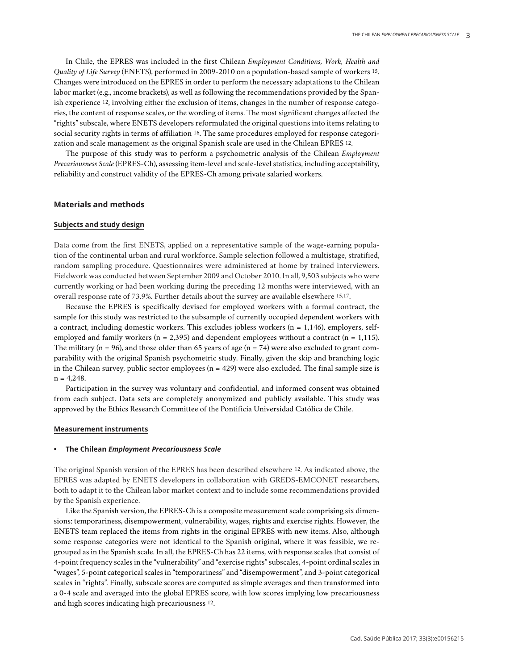In Chile, the EPRES was included in the first Chilean *Employment Conditions, Work, Health and Quality of Life Survey* (ENETS), performed in 2009-2010 on a population-based sample of workers 15. Changes were introduced on the EPRES in order to perform the necessary adaptations to the Chilean labor market (e.g., income brackets), as well as following the recommendations provided by the Spanish experience 12, involving either the exclusion of items, changes in the number of response categories, the content of response scales, or the wording of items. The most significant changes affected the "rights" subscale, where ENETS developers reformulated the original questions into items relating to social security rights in terms of affiliation 16. The same procedures employed for response categorization and scale management as the original Spanish scale are used in the Chilean EPRES 12.

The purpose of this study was to perform a psychometric analysis of the Chilean *Employment Precariousness Scale* (EPRES-Ch), assessing item-level and scale-level statistics, including acceptability, reliability and construct validity of the EPRES-Ch among private salaried workers.

#### **Materials and methods**

#### **Subjects and study design**

Data come from the first ENETS, applied on a representative sample of the wage-earning population of the continental urban and rural workforce. Sample selection followed a multistage, stratified, random sampling procedure. Questionnaires were administered at home by trained interviewers. Fieldwork was conducted between September 2009 and October 2010. In all, 9,503 subjects who were currently working or had been working during the preceding 12 months were interviewed, with an overall response rate of 73.9%. Further details about the survey are available elsewhere 15,17.

Because the EPRES is specifically devised for employed workers with a formal contract, the sample for this study was restricted to the subsample of currently occupied dependent workers with a contract, including domestic workers. This excludes jobless workers ( $n = 1,146$ ), employers, selfemployed and family workers ( $n = 2,395$ ) and dependent employees without a contract ( $n = 1,115$ ). The military (n = 96), and those older than 65 years of age (n = 74) were also excluded to grant comparability with the original Spanish psychometric study. Finally, given the skip and branching logic in the Chilean survey, public sector employees  $(n = 429)$  were also excluded. The final sample size is  $n = 4,248.$ 

Participation in the survey was voluntary and confidential, and informed consent was obtained from each subject. Data sets are completely anonymized and publicly available. This study was approved by the Ethics Research Committee of the Pontificia Universidad Católica de Chile.

#### **Measurement instruments**

#### **• The Chilean** *Employment Precariousness Scale*

The original Spanish version of the EPRES has been described elsewhere 12. As indicated above, the EPRES was adapted by ENETS developers in collaboration with GREDS-EMCONET researchers, both to adapt it to the Chilean labor market context and to include some recommendations provided by the Spanish experience.

Like the Spanish version, the EPRES-Ch is a composite measurement scale comprising six dimensions: temporariness, disempowerment, vulnerability, wages, rights and exercise rights. However, the ENETS team replaced the items from rights in the original EPRES with new items. Also, although some response categories were not identical to the Spanish original, where it was feasible, we regrouped as in the Spanish scale. In all, the EPRES-Ch has 22 items, with response scales that consist of 4-point frequency scales in the "vulnerability" and "exercise rights" subscales, 4-point ordinal scales in "wages", 5-point categorical scales in "temporariness" and "disempowerment", and 3-point categorical scales in "rights". Finally, subscale scores are computed as simple averages and then transformed into a 0-4 scale and averaged into the global EPRES score, with low scores implying low precariousness and high scores indicating high precariousness 12.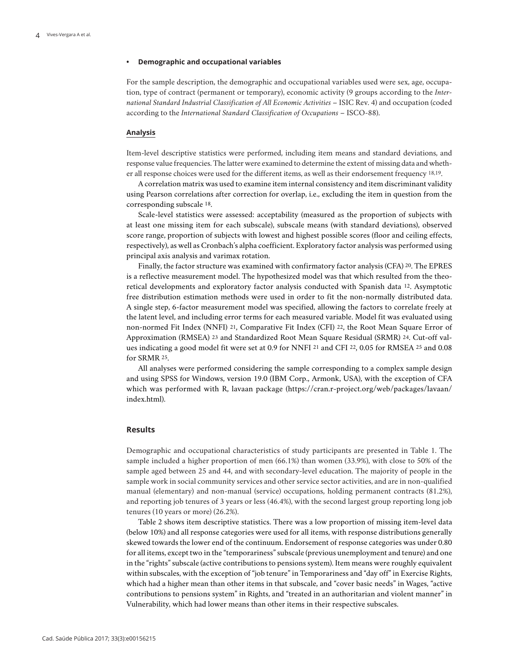#### **• Demographic and occupational variables**

For the sample description, the demographic and occupational variables used were sex, age, occupation, type of contract (permanent or temporary), economic activity (9 groups according to the *International Standard Industrial Classification of All Economic Activities* – ISIC Rev. 4) and occupation (coded according to the *International Standard Classification of Occupations* – ISCO-88).

#### **Analysis**

Item-level descriptive statistics were performed, including item means and standard deviations, and response value frequencies. The latter were examined to determine the extent of missing data and whether all response choices were used for the different items, as well as their endorsement frequency 18,19.

A correlation matrix was used to examine item internal consistency and item discriminant validity using Pearson correlations after correction for overlap, i.e., excluding the item in question from the corresponding subscale 18.

Scale-level statistics were assessed: acceptability (measured as the proportion of subjects with at least one missing item for each subscale), subscale means (with standard deviations), observed score range, proportion of subjects with lowest and highest possible scores (floor and ceiling effects, respectively), as well as Cronbach's alpha coefficient. Exploratory factor analysis was performed using principal axis analysis and varimax rotation.

Finally, the factor structure was examined with confirmatory factor analysis (CFA) 20. The EPRES is a reflective measurement model. The hypothesized model was that which resulted from the theoretical developments and exploratory factor analysis conducted with Spanish data 12. Asymptotic free distribution estimation methods were used in order to fit the non-normally distributed data. A single step, 6-factor measurement model was specified, allowing the factors to correlate freely at the latent level, and including error terms for each measured variable. Model fit was evaluated using non-normed Fit Index (NNFI) 21, Comparative Fit Index (CFI) 22, the Root Mean Square Error of Approximation (RMSEA) 23 and Standardized Root Mean Square Residual (SRMR) 24. Cut-off values indicating a good model fit were set at 0.9 for NNFI 21 and CFI 22, 0.05 for RMSEA 25 and 0.08 for SRMR 25.

All analyses were performed considering the sample corresponding to a complex sample design and using SPSS for Windows, version 19.0 (IBM Corp., Armonk, USA), with the exception of CFA which was performed with R, lavaan package (https://cran.r-project.org/web/packages/lavaan/ index.html).

#### **Results**

Demographic and occupational characteristics of study participants are presented in Table 1. The sample included a higher proportion of men (66.1%) than women (33.9%), with close to 50% of the sample aged between 25 and 44, and with secondary-level education. The majority of people in the sample work in social community services and other service sector activities, and are in non-qualified manual (elementary) and non-manual (service) occupations, holding permanent contracts (81.2%), and reporting job tenures of 3 years or less (46.4%), with the second largest group reporting long job tenures (10 years or more) (26.2%).

Table 2 shows item descriptive statistics. There was a low proportion of missing item-level data (below 10%) and all response categories were used for all items, with response distributions generally skewed towards the lower end of the continuum. Endorsement of response categories was under 0.80 for all items, except two in the "temporariness" subscale (previous unemployment and tenure) and one in the "rights" subscale (active contributions to pensions system). Item means were roughly equivalent within subscales, with the exception of "job tenure" in Temporariness and "day off" in Exercise Rights, which had a higher mean than other items in that subscale, and "cover basic needs" in Wages, "active contributions to pensions system" in Rights, and "treated in an authoritarian and violent manner" in Vulnerability, which had lower means than other items in their respective subscales.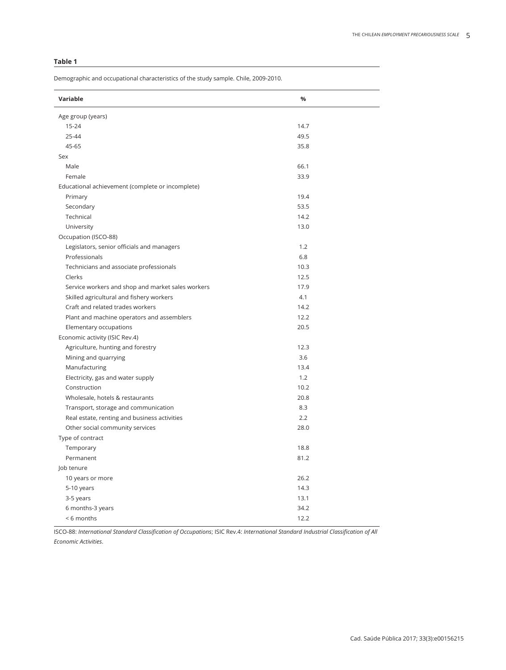# **Table 1**

Demographic and occupational characteristics of the study sample. Chile, 2009-2010.

| Variable                                          | %    |
|---------------------------------------------------|------|
| Age group (years)                                 |      |
| $15 - 24$                                         | 14.7 |
| 25-44                                             | 49.5 |
| 45-65                                             | 35.8 |
| Sex                                               |      |
| Male                                              | 66.1 |
| Female                                            | 33.9 |
| Educational achievement (complete or incomplete)  |      |
| Primary                                           | 19.4 |
| Secondary                                         | 53.5 |
| Technical                                         | 14.2 |
| University                                        | 13.0 |
| Occupation (ISCO-88)                              |      |
| Legislators, senior officials and managers        | 1.2  |
| Professionals                                     | 6.8  |
| Technicians and associate professionals           | 10.3 |
| Clerks                                            | 12.5 |
| Service workers and shop and market sales workers | 17.9 |
| Skilled agricultural and fishery workers          | 4.1  |
| Craft and related trades workers                  | 14.2 |
| Plant and machine operators and assemblers        | 12.2 |
| Elementary occupations                            | 20.5 |
| Economic activity (ISIC Rev.4)                    |      |
| Agriculture, hunting and forestry                 | 12.3 |
| Mining and quarrying                              | 3.6  |
| Manufacturing                                     | 13.4 |
| Electricity, gas and water supply                 | 1.2  |
| Construction                                      | 10.2 |
| Wholesale, hotels & restaurants                   | 20.8 |
| Transport, storage and communication              | 8.3  |
| Real estate, renting and business activities      | 2.2  |
| Other social community services                   | 28.0 |
| Type of contract                                  |      |
| Temporary                                         | 18.8 |
| Permanent                                         | 81.2 |
| Job tenure                                        |      |
| 10 years or more                                  | 26.2 |
| 5-10 years                                        | 14.3 |
| 3-5 years                                         | 13.1 |
| 6 months-3 years                                  | 34.2 |
| <6 months                                         | 12.2 |

ISCO-88: *International Standard Classification of Occupations*; ISIC Rev.4: *International Standard Industrial Classification of All Economic Activities*.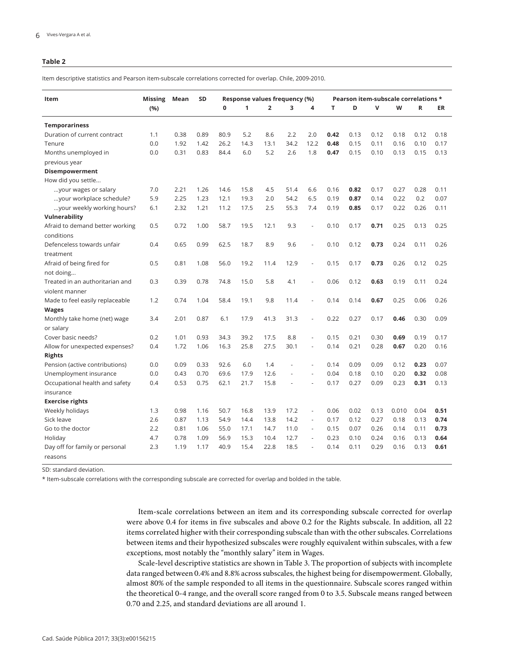#### **Table 2**

Item descriptive statistics and Pearson item-subscale correlations corrected for overlap. Chile, 2009-2010.

| Item                            | <b>Missing</b> | Mean | SD   | Response values frequency (%) |      |                |      | Pearson item-subscale correlations * |      |      |      |       |      |      |
|---------------------------------|----------------|------|------|-------------------------------|------|----------------|------|--------------------------------------|------|------|------|-------|------|------|
|                                 | (%)            |      |      | $\mathbf 0$                   | 1    | $\overline{2}$ | 3    | 4                                    | т    | D    | v    | W     | R    | ER   |
| <b>Temporariness</b>            |                |      |      |                               |      |                |      |                                      |      |      |      |       |      |      |
| Duration of current contract    | 1.1            | 0.38 | 0.89 | 80.9                          | 5.2  | 8.6            | 2.2  | 2.0                                  | 0.42 | 0.13 | 0.12 | 0.18  | 0.12 | 0.18 |
| Tenure                          | 0.0            | 1.92 | 1.42 | 26.2                          | 14.3 | 13.1           | 34.2 | 12.2                                 | 0.48 | 0.15 | 0.11 | 0.16  | 0.10 | 0.17 |
| Months unemployed in            | 0.0            | 0.31 | 0.83 | 84.4                          | 6.0  | 5.2            | 2.6  | 1.8                                  | 0.47 | 0.15 | 0.10 | 0.13  | 0.15 | 0.13 |
| previous year                   |                |      |      |                               |      |                |      |                                      |      |      |      |       |      |      |
| Disempowerment                  |                |      |      |                               |      |                |      |                                      |      |      |      |       |      |      |
| How did you settle              |                |      |      |                               |      |                |      |                                      |      |      |      |       |      |      |
| your wages or salary            | 7.0            | 2.21 | 1.26 | 14.6                          | 15.8 | 4.5            | 51.4 | 6.6                                  | 0.16 | 0.82 | 0.17 | 0.27  | 0.28 | 0.11 |
| your workplace schedule?        | 5.9            | 2.25 | 1.23 | 12.1                          | 19.3 | 2.0            | 54.2 | 6.5                                  | 0.19 | 0.87 | 0.14 | 0.22  | 0.2  | 0.07 |
| your weekly working hours?      | 6.1            | 2.32 | 1.21 | 11.2                          | 17.5 | 2.5            | 55.3 | 7.4                                  | 0.19 | 0.85 | 0.17 | 0.22  | 0.26 | 0.11 |
| Vulnerability                   |                |      |      |                               |      |                |      |                                      |      |      |      |       |      |      |
| Afraid to demand better working | 0.5            | 0.72 | 1.00 | 58.7                          | 19.5 | 12.1           | 9.3  |                                      | 0.10 | 0.17 | 0.71 | 0.25  | 0.13 | 0.25 |
| conditions                      |                |      |      |                               |      |                |      |                                      |      |      |      |       |      |      |
| Defenceless towards unfair      | 0.4            | 0.65 | 0.99 | 62.5                          | 18.7 | 8.9            | 9.6  |                                      | 0.10 | 0.12 | 0.73 | 0.24  | 0.11 | 0.26 |
| treatment                       |                |      |      |                               |      |                |      |                                      |      |      |      |       |      |      |
| Afraid of being fired for       | 0.5            | 0.81 | 1.08 | 56.0                          | 19.2 | 11.4           | 12.9 |                                      | 0.15 | 0.17 | 0.73 | 0.26  | 0.12 | 0.25 |
| not doing                       |                |      |      |                               |      |                |      |                                      |      |      |      |       |      |      |
| Treated in an authoritarian and | 0.3            | 0.39 | 0.78 | 74.8                          | 15.0 | 5.8            | 4.1  |                                      | 0.06 | 0.12 | 0.63 | 0.19  | 0.11 | 0.24 |
| violent manner                  |                |      |      |                               |      |                |      |                                      |      |      |      |       |      |      |
| Made to feel easily replaceable | 1.2            | 0.74 | 1.04 | 58.4                          | 19.1 | 9.8            | 11.4 |                                      | 0.14 | 0.14 | 0.67 | 0.25  | 0.06 | 0.26 |
| <b>Wages</b>                    |                |      |      |                               |      |                |      |                                      |      |      |      |       |      |      |
| Monthly take home (net) wage    | 3.4            | 2.01 | 0.87 | 6.1                           | 17.9 | 41.3           | 31.3 |                                      | 0.22 | 0.27 | 0.17 | 0.46  | 0.30 | 0.09 |
| or salary                       |                |      |      |                               |      |                |      |                                      |      |      |      |       |      |      |
| Cover basic needs?              | 0.2            | 1.01 | 0.93 | 34.3                          | 39.2 | 17.5           | 8.8  |                                      | 0.15 | 0.21 | 0.30 | 0.69  | 0.19 | 0.17 |
| Allow for unexpected expenses?  | 0.4            | 1.72 | 1.06 | 16.3                          | 25.8 | 27.5           | 30.1 | ÷,                                   | 0.14 | 0.21 | 0.28 | 0.67  | 0.20 | 0.16 |
| <b>Rights</b>                   |                |      |      |                               |      |                |      |                                      |      |      |      |       |      |      |
| Pension (active contributions)  | 0.0            | 0.09 | 0.33 | 92.6                          | 6.0  | 1.4            |      |                                      | 0.14 | 0.09 | 0.09 | 0.12  | 0.23 | 0.07 |
| Unemployment insurance          | 0.0            | 0.43 | 0.70 | 69.6                          | 17.9 | 12.6           |      |                                      | 0.04 | 0.18 | 0.10 | 0.20  | 0.32 | 0.08 |
| Occupational health and safety  | 0.4            | 0.53 | 0.75 | 62.1                          | 21.7 | 15.8           |      |                                      | 0.17 | 0.27 | 0.09 | 0.23  | 0.31 | 0.13 |
| insurance                       |                |      |      |                               |      |                |      |                                      |      |      |      |       |      |      |
| <b>Exercise rights</b>          |                |      |      |                               |      |                |      |                                      |      |      |      |       |      |      |
| Weekly holidays                 | 1.3            | 0.98 | 1.16 | 50.7                          | 16.8 | 13.9           | 17.2 |                                      | 0.06 | 0.02 | 0.13 | 0.010 | 0.04 | 0.51 |
| Sick leave                      | 2.6            | 0.87 | 1.13 | 54.9                          | 14.4 | 13.8           | 14.2 | ÷,                                   | 0.17 | 0.12 | 0.27 | 0.18  | 0.13 | 0.74 |
| Go to the doctor                | 2.2            | 0.81 | 1.06 | 55.0                          | 17.1 | 14.7           | 11.0 | ä,                                   | 0.15 | 0.07 | 0.26 | 0.14  | 0.11 | 0.73 |
| Holiday                         | 4.7            | 0.78 | 1.09 | 56.9                          | 15.3 | 10.4           | 12.7 |                                      | 0.23 | 0.10 | 0.24 | 0.16  | 0.13 | 0.64 |
| Day off for family or personal  | 2.3            | 1.19 | 1.17 | 40.9                          | 15.4 | 22.8           | 18.5 |                                      | 0.14 | 0.11 | 0.29 | 0.16  | 0.13 | 0.61 |
| reasons                         |                |      |      |                               |      |                |      |                                      |      |      |      |       |      |      |

SD: standard deviation.

\* Item-subscale correlations with the corresponding subscale are corrected for overlap and bolded in the table.

Item-scale correlations between an item and its corresponding subscale corrected for overlap were above 0.4 for items in five subscales and above 0.2 for the Rights subscale. In addition, all 22 items correlated higher with their corresponding subscale than with the other subscales. Correlations between items and their hypothesized subscales were roughly equivalent within subscales, with a few exceptions, most notably the "monthly salary" item in Wages.

Scale-level descriptive statistics are shown in Table 3. The proportion of subjects with incomplete data ranged between 0.4% and 8.8% across subscales, the highest being for disempowerment. Globally, almost 80% of the sample responded to all items in the questionnaire. Subscale scores ranged within the theoretical 0-4 range, and the overall score ranged from 0 to 3.5. Subscale means ranged between 0.70 and 2.25, and standard deviations are all around 1.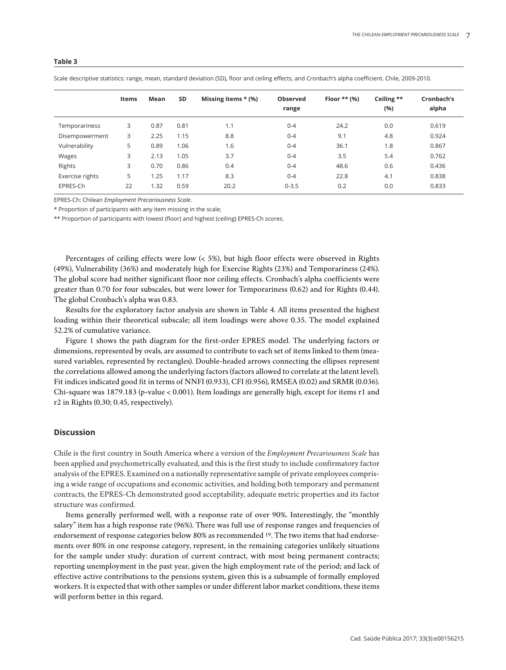| ٠<br>. .<br>I | I |
|---------------|---|
|---------------|---|

|                 | <b>Items</b> | Mean | <b>SD</b> | Missing items $*(\%)$ | <b>Observed</b><br>range | Floor $**$ (%) | Ceiling **<br>(%) | Cronbach's<br>alpha |
|-----------------|--------------|------|-----------|-----------------------|--------------------------|----------------|-------------------|---------------------|
| Temporariness   | 3            | 0.87 | 0.81      | 1.1                   | $0 - 4$                  | 24.2           | 0.0               | 0.619               |
| Disempowerment  | 3            | 2.25 | 1.15      | 8.8                   | $0 - 4$                  | 9.1            | 4.8               | 0.924               |
| Vulnerability   | 5            | 0.89 | 1.06      | 1.6                   | $0 - 4$                  | 36.1           | 1.8               | 0.867               |
| Wages           | 3            | 2.13 | 1.05      | 3.7                   | $0 - 4$                  | 3.5            | 5.4               | 0.762               |
| Rights          | 3            | 0.70 | 0.86      | 0.4                   | $0 - 4$                  | 48.6           | 0.6               | 0.436               |
| Exercise rights | 5            | 1.25 | 1.17      | 8.3                   | $0 - 4$                  | 22.8           | 4.1               | 0.838               |
| EPRES-Ch        | 22           | 1.32 | 0.59      | 20.2                  | $0 - 3.5$                | 0.2            | 0.0               | 0.833               |
|                 |              |      |           |                       |                          |                |                   |                     |

Scale descriptive statistics: range, mean, standard deviation (SD), floor and ceiling effects, and Cronbach's alpha coefficient. Chile, 2009-2010.

EPRES-Ch: Chilean *Employment Precariousness Scale*.

\* Proportion of participants with any item missing in the scale;

\*\* Proportion of participants with lowest (floor) and highest (ceiling) EPRES-Ch scores.

Percentages of ceiling effects were low (< 5%), but high floor effects were observed in Rights (49%), Vulnerability (36%) and moderately high for Exercise Rights (23%) and Temporariness (24%). The global score had neither significant floor nor ceiling effects. Cronbach's alpha coefficients were greater than 0.70 for four subscales, but were lower for Temporariness (0.62) and for Rights (0.44). The global Cronbach's alpha was 0.83.

Results for the exploratory factor analysis are shown in Table 4. All items presented the highest loading within their theoretical subscale; all item loadings were above 0.35. The model explained 52.2% of cumulative variance.

Figure 1 shows the path diagram for the first-order EPRES model. The underlying factors or dimensions, represented by ovals, are assumed to contribute to each set of items linked to them (measured variables, represented by rectangles). Double-headed arrows connecting the ellipses represent the correlations allowed among the underlying factors (factors allowed to correlate at the latent level). Fit indices indicated good fit in terms of NNFI (0.933), CFI (0.956), RMSEA (0.02) and SRMR (0.036). Chi-square was 1879.183 (p-value < 0.001). Item loadings are generally high, except for items r1 and r2 in Rights (0.30; 0.45, respectively).

# **Discussion**

Chile is the first country in South America where a version of the *Employment Precariousness Scale* has been applied and psychometrically evaluated, and this is the first study to include confirmatory factor analysis of the EPRES. Examined on a nationally representative sample of private employees comprising a wide range of occupations and economic activities, and holding both temporary and permanent contracts, the EPRES-Ch demonstrated good acceptability, adequate metric properties and its factor structure was confirmed.

Items generally performed well, with a response rate of over 90%. Interestingly, the "monthly salary" item has a high response rate (96%). There was full use of response ranges and frequencies of endorsement of response categories below 80% as recommended 19. The two items that had endorsements over 80% in one response category, represent, in the remaining categories unlikely situations for the sample under study: duration of current contract, with most being permanent contracts; reporting unemployment in the past year, given the high employment rate of the period; and lack of effective active contributions to the pensions system, given this is a subsample of formally employed workers. It is expected that with other samples or under different labor market conditions, these items will perform better in this regard.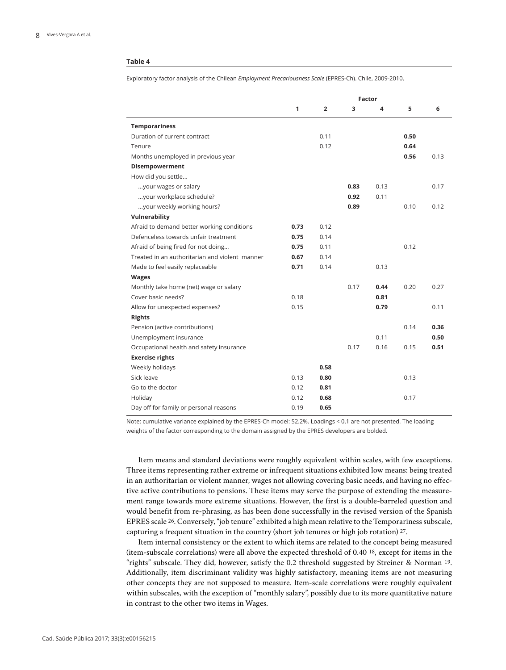#### **Table 4**

Exploratory factor analysis of the Chilean *Employment Precariousness Scale* (EPRES-Ch). Chile, 2009-2010.

|                                                |      | <b>Factor</b>  |      |      |      |      |  |
|------------------------------------------------|------|----------------|------|------|------|------|--|
|                                                | 1    | $\overline{2}$ | 3    | 4    | 5    | 6    |  |
| <b>Temporariness</b>                           |      |                |      |      |      |      |  |
| Duration of current contract                   |      | 0.11           |      |      | 0.50 |      |  |
| Tenure                                         |      | 0.12           |      |      | 0.64 |      |  |
| Months unemployed in previous year             |      |                |      |      | 0.56 | 0.13 |  |
| Disempowerment                                 |      |                |      |      |      |      |  |
| How did you settle                             |      |                |      |      |      |      |  |
| your wages or salary                           |      |                | 0.83 | 0.13 |      | 0.17 |  |
| your workplace schedule?                       |      |                | 0.92 | 0.11 |      |      |  |
| your weekly working hours?                     |      |                | 0.89 |      | 0.10 | 0.12 |  |
| Vulnerability                                  |      |                |      |      |      |      |  |
| Afraid to demand better working conditions     | 0.73 | 0.12           |      |      |      |      |  |
| Defenceless towards unfair treatment           | 0.75 | 0.14           |      |      |      |      |  |
| Afraid of being fired for not doing            | 0.75 | 0.11           |      |      | 0.12 |      |  |
| Treated in an authoritarian and violent manner | 0.67 | 0.14           |      |      |      |      |  |
| Made to feel easily replaceable                | 0.71 | 0.14           |      | 0.13 |      |      |  |
| <b>Wages</b>                                   |      |                |      |      |      |      |  |
| Monthly take home (net) wage or salary         |      |                | 0.17 | 0.44 | 0.20 | 0.27 |  |
| Cover basic needs?                             | 0.18 |                |      | 0.81 |      |      |  |
| Allow for unexpected expenses?                 | 0.15 |                |      | 0.79 |      | 0.11 |  |
| <b>Rights</b>                                  |      |                |      |      |      |      |  |
| Pension (active contributions)                 |      |                |      |      | 0.14 | 0.36 |  |
| Unemployment insurance                         |      |                |      | 0.11 |      | 0.50 |  |
| Occupational health and safety insurance       |      |                | 0.17 | 0.16 | 0.15 | 0.51 |  |
| <b>Exercise rights</b>                         |      |                |      |      |      |      |  |
| Weekly holidays                                |      | 0.58           |      |      |      |      |  |
| Sick leave                                     | 0.13 | 0.80           |      |      | 0.13 |      |  |
| Go to the doctor                               | 0.12 | 0.81           |      |      |      |      |  |
| Holiday                                        | 0.12 | 0.68           |      |      | 0.17 |      |  |
| Day off for family or personal reasons         | 0.19 | 0.65           |      |      |      |      |  |

Note: cumulative variance explained by the EPRES-Ch model: 52.2%. Loadings < 0.1 are not presented. The loading weights of the factor corresponding to the domain assigned by the EPRES developers are bolded.

Item means and standard deviations were roughly equivalent within scales, with few exceptions. Three items representing rather extreme or infrequent situations exhibited low means: being treated in an authoritarian or violent manner, wages not allowing covering basic needs, and having no effective active contributions to pensions. These items may serve the purpose of extending the measurement range towards more extreme situations. However, the first is a double-barreled question and would benefit from re-phrasing, as has been done successfully in the revised version of the Spanish EPRES scale 26. Conversely, "job tenure" exhibited a high mean relative to the Temporariness subscale, capturing a frequent situation in the country (short job tenures or high job rotation) 27.

Item internal consistency or the extent to which items are related to the concept being measured (item-subscale correlations) were all above the expected threshold of 0.40 18, except for items in the "rights" subscale. They did, however, satisfy the 0.2 threshold suggested by Streiner & Norman 19. Additionally, item discriminant validity was highly satisfactory, meaning items are not measuring other concepts they are not supposed to measure. Item-scale correlations were roughly equivalent within subscales, with the exception of "monthly salary", possibly due to its more quantitative nature in contrast to the other two items in Wages.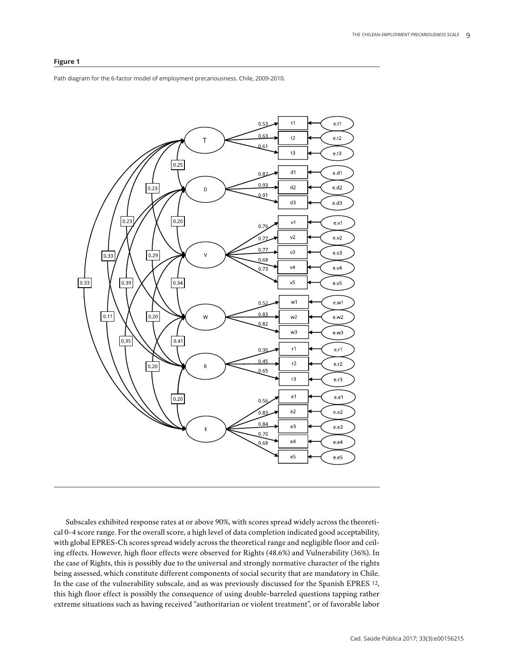#### **Figure 1**

Path diagram for the 6-factor model of employment precariousness. Chile, 2009-2010.



Subscales exhibited response rates at or above 90%, with scores spread widely across the theoretical 0-4 score range. For the overall score, a high level of data completion indicated good acceptability, with global EPRES-Ch scores spread widely across the theoretical range and negligible floor and ceiling effects. However, high floor effects were observed for Rights (48.6%) and Vulnerability (36%). In the case of Rights, this is possibly due to the universal and strongly normative character of the rights being assessed, which constitute different components of social security that are mandatory in Chile. In the case of the vulnerability subscale, and as was previously discussed for the Spanish EPRES 12, this high floor effect is possibly the consequence of using double-barreled questions tapping rather extreme situations such as having received "authoritarian or violent treatment", or of favorable labor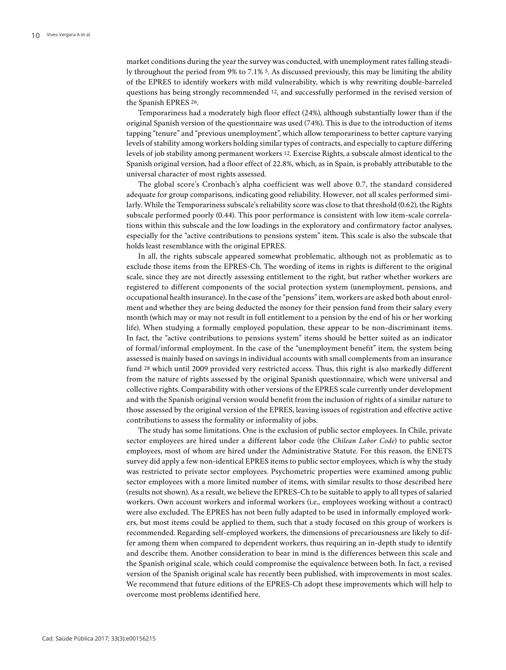market conditions during the year the survey was conducted, with unemployment rates falling steadily throughout the period from 9% to 7.1% 5. As discussed previously, this may be limiting the ability of the EPRES to identify workers with mild vulnerability, which is why rewriting double-barreled questions has being strongly recommended 12, and successfully performed in the revised version of the Spanish EPRES 26.

Temporariness had a moderately high floor effect (24%), although substantially lower than if the original Spanish version of the questionnaire was used (74%). This is due to the introduction of items tapping "tenure" and "previous unemployment", which allow temporariness to better capture varying levels of stability among workers holding similar types of contracts, and especially to capture differing levels of job stability among permanent workers 12. Exercise Rights, a subscale almost identical to the Spanish original version, had a floor effect of 22.8%, which, as in Spain, is probably attributable to the universal character of most rights assessed.

The global score's Cronbach's alpha coefficient was well above 0.7, the standard considered adequate for group comparisons, indicating good reliability. However, not all scales performed similarly. While the Temporariness subscale's reliability score was close to that threshold (0.62), the Rights subscale performed poorly (0.44). This poor performance is consistent with low item-scale correlations within this subscale and the low loadings in the exploratory and confirmatory factor analyses, especially for the "active contributions to pensions system" item. This scale is also the subscale that holds least resemblance with the original EPRES.

In all, the rights subscale appeared somewhat problematic, although not as problematic as to exclude those items from the EPRES-Ch. The wording of items in rights is different to the original scale, since they are not directly assessing entitlement to the right, but rather whether workers are registered to different components of the social protection system (unemployment, pensions, and occupational health insurance). In the case of the "pensions" item, workers are asked both about enrolment and whether they are being deducted the money for their pension fund from their salary every month (which may or may not result in full entitlement to a pension by the end of his or her working life). When studying a formally employed population, these appear to be non-discriminant items. In fact, the "active contributions to pensions system" items should be better suited as an indicator of formal/informal employment. In the case of the "unemployment benefit" item, the system being assessed is mainly based on savings in individual accounts with small complements from an insurance fund 28 which until 2009 provided very restricted access. Thus, this right is also markedly different from the nature of rights assessed by the original Spanish questionnaire, which were universal and collective rights. Comparability with other versions of the EPRES scale currently under development and with the Spanish original version would benefit from the inclusion of rights of a similar nature to those assessed by the original version of the EPRES, leaving issues of registration and effective active contributions to assess the formality or informality of jobs.

The study has some limitations. One is the exclusion of public sector employees. In Chile, private sector employees are hired under a different labor code (the *Chilean Labor Code*) to public sector employees, most of whom are hired under the Administrative Statute. For this reason, the ENETS survey did apply a few non-identical EPRES items to public sector employees, which is why the study was restricted to private sector employees. Psychometric properties were examined among public sector employees with a more limited number of items, with similar results to those described here (results not shown). As a result, we believe the EPRES-Ch to be suitable to apply to all types of salaried workers. Own account workers and informal workers (i.e., employees working without a contract) were also excluded. The EPRES has not been fully adapted to be used in informally employed workers, but most items could be applied to them, such that a study focused on this group of workers is recommended. Regarding self-employed workers, the dimensions of precariousness are likely to differ among them when compared to dependent workers, thus requiring an in-depth study to identify and describe them. Another consideration to bear in mind is the differences between this scale and the Spanish original scale, which could compromise the equivalence between both. In fact, a revised version of the Spanish original scale has recently been published, with improvements in most scales. We recommend that future editions of the EPRES-Ch adopt these improvements which will help to overcome most problems identified here.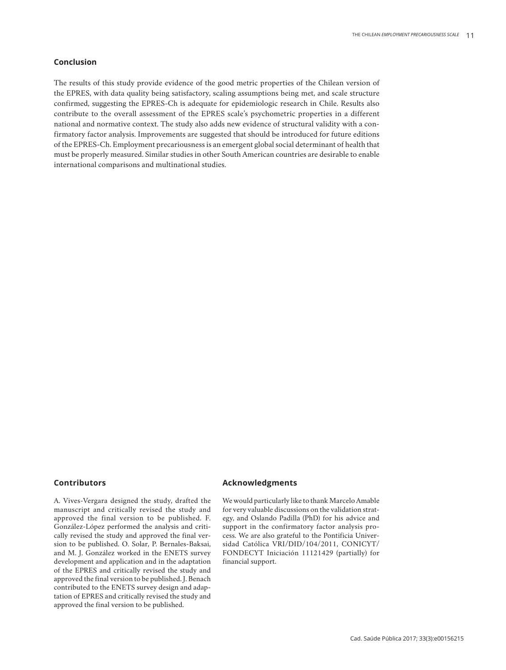#### **Conclusion**

The results of this study provide evidence of the good metric properties of the Chilean version of the EPRES, with data quality being satisfactory, scaling assumptions being met, and scale structure confirmed, suggesting the EPRES-Ch is adequate for epidemiologic research in Chile. Results also contribute to the overall assessment of the EPRES scale's psychometric properties in a different national and normative context. The study also adds new evidence of structural validity with a confirmatory factor analysis. Improvements are suggested that should be introduced for future editions of the EPRES-Ch. Employment precariousness is an emergent global social determinant of health that must be properly measured. Similar studies in other South American countries are desirable to enable international comparisons and multinational studies.

#### **Contributors**

A. Vives-Vergara designed the study, drafted the manuscript and critically revised the study and approved the final version to be published. F. González-López performed the analysis and critically revised the study and approved the final version to be published. O. Solar, P. Bernales-Baksai, and M. J. González worked in the ENETS survey development and application and in the adaptation of the EPRES and critically revised the study and approved the final version to be published. J. Benach contributed to the ENETS survey design and adaptation of EPRES and critically revised the study and approved the final version to be published.

## **Acknowledgments**

We would particularly like to thank Marcelo Amable for very valuable discussions on the validation strategy, and Oslando Padilla (PhD) for his advice and support in the confirmatory factor analysis process. We are also grateful to the Pontificia Universidad Católica VRI/DID/104/2011, CONICYT/ FONDECYT Iniciación 11121429 (partially) for financial support.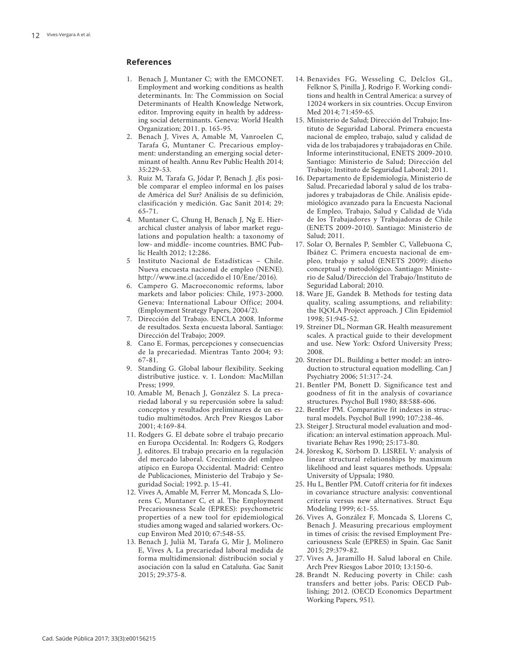#### **References**

- 1. Benach J, Muntaner C; with the EMCONET. Employment and working conditions as health determinants. In: The Commission on Social Determinants of Health Knowledge Network, editor. Improving equity in health by address ing social determinants. Geneva: World Health Organization; 2011. p. 165-95.
- 2. Benach J, Vives A, Amable M, Vanroelen C, Tarafa G, Muntaner C. Precarious employ ment: understanding an emerging social deter minant of health. Annu Rev Public Health 2014; 35:229-53.
- 3. Ruiz M, Tarafa G, Jódar P, Benach J. ¿Es posi ble comparar el empleo informal en los países de América del Sur? Análisis de su definición, clasificación y medición. Gac Sanit 2014; 29: 65-71.
- 4. Muntaner C, Chung H, Benach J, Ng E. Hier archical cluster analysis of labor market regu lations and population health: a taxonomy of low- and middle- income countries. BMC Pub lic Health 2012; 12:286.
- 5 Instituto Nacional de Estadísticas Chile. Nueva encuesta nacional de empleo (NENE). http://www.ine.cl (accedido el 10/Ene/2016).
- 6. Campero G. Macroeconomic reforms, labor markets and labor policies: Chile, 1973-2000. Geneva: International Labour Office; 2004. (Employment Strategy Papers, 2004/2).
- 7. Dirección del Trabajo. ENCLA 2008. Informe de resultados. Sexta encuesta laboral. Santiago: Dirección del Trabajo; 2009.
- 8. Cano E. Formas, percepciones y consecuencias de la precariedad. Mientras Tanto 2004; 93: 67-81.
- 9. Standing G. Global labour flexibility. Seeking distributive justice. v. 1. London: MacMillan Press; 1999.
- 10. Amable M, Benach J, González S. La preca riedad laboral y su repercusión sobre la salud: conceptos y resultados preliminares de un es tudio multimétodos. Arch Prev Riesgos Labor 2001; 4:169-84.
- 11. Rodgers G. El debate sobre el trabajo precario en Europa Occidental. In: Rodgers G, Rodgers J, editores. El trabajo precario en la regulación del mercado laboral. Crecimiento del emlpeo atípico en Europa Occidental. Madrid: Centro de Publicaciones, Ministerio del Trabajo y Se guridad Social; 1992. p. 15-41.
- 12. Vives A, Amable M, Ferrer M, Moncada S, Llo rens C, Muntaner C, et al. The Employment Precariousness Scale (EPRES): psychometric properties of a new tool for epidemiological studies among waged and salaried workers. Oc cup Environ Med 2010; 67:548-55.
- 13. Benach J, Julià M, Tarafa G, Mir J, Molinero E, Vives A. La precariedad laboral medida de forma multidimensional: distribución social y asociación con la salud en Cataluña. Gac Sanit 2015; 29:375-8.
- 14. Benavides FG, Wesseling C, Delclos GL, Felknor S, Pinilla J, Rodrigo F. Working condi tions and health in Central America: a survey of 12024 workers in six countries. Occup Environ Med 2014; 71:459-65.
- 15. Ministerio de Salud; Dirección del Trabajo; Ins tituto de Seguridad Laboral. Primera encuesta nacional de empleo, trabajo, salud y calidad de vida de los trabajadores y trabajadoras en Chile. Informe interinstitucional, ENETS 2009-2010. Santiago: Ministerio de Salud; Dirección del Trabajo; Instituto de Seguridad Laboral; 2011.
- 16. Departamento de Epidemiología, Ministerio de Salud. Precariedad laboral y salud de los traba jadores y trabajadoras de Chile. Análisis epide miológico avanzado para la Encuesta Nacional de Empleo, Trabajo, Salud y Calidad de Vida de los Trabajadores y Trabajadoras de Chile (ENETS 2009-2010). Santiago: Ministerio de Salud; 2011.
- 17. Solar O, Bernales P, Sembler C, Vallebuona C, Ibáñez C. Primera encuesta nacional de em pleo, trabajo y salud (ENETS 2009): diseño conceptual y metodológico. Santiago: Ministe rio de Salud/Dirección del Trabajo/Instituto de Seguridad Laboral; 2010.
- 18. Ware JE, Gandek B. Methods for testing data quality, scaling assumptions, and reliability: the IQOLA Project approach. J Clin Epidemiol 1998; 51:945-52.
- 19. Streiner DL, Norman GR. Health measurement scales. A practical guide to their development and use. New York: Oxford University Press; 2008.
- 20. Streiner DL. Building a better model: an intro duction to structural equation modelling. Can J Psychiatry 2006; 51:317-24.
- 21. Bentler PM, Bonett D. Significance test and goodness of fit in the analysis of covariance structures. Psychol Bull 1980; 88:588-606.
- 22. Bentler PM. Comparative fit indexes in struc tural models. Psychol Bull 1990; 107:238-46.
- 23. Steiger J. Structural model evaluation and mod ification: an interval estimation approach. Mul tivariate Behav Res 1990; 25:173-80.
- 24. Jöreskog K, Sörbom D. LISREL V: analysis of linear structural relationships by maximum likelihood and least squares methods. Uppsala: University of Uppsala; 1980.
- 25. Hu L, Bentler PM. Cutoff criteria for fit indexes in covariance structure analysis: conventional criteria versus new alternatives. Struct Equ Modeling 1999; 6:1-55.
- 26. Vives A, González F, Moncada S, Llorens C, Benach J. Measuring precarious employment in times of crisis: the revised Employment Pre cariousness Scale (EPRES) in Spain. Gac Sanit 2015; 29:379-82.
- 27. Vives A, Jaramillo H. Salud laboral en Chile. Arch Prev Riesgos Labor 2010; 13:150-6.
- 28. Brandt N. Reducing poverty in Chile: cash transfers and better jobs. Paris: OECD Pub lishing; 2012. (OECD Economics Department Working Papers, 951).